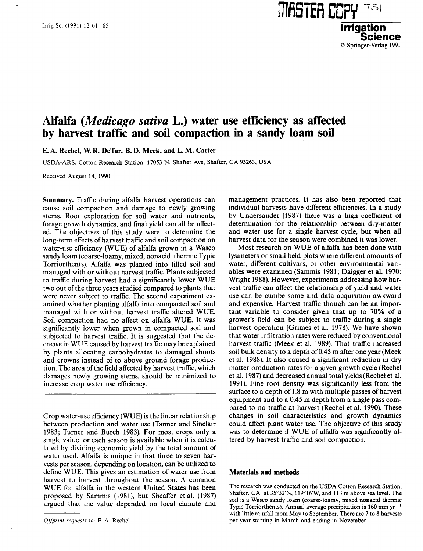## **Alfalfa** *(Medicago sativa* **L.) water use efficiency as affected by harvest traffic and soil compaction in a sandy loam soil**

**E.** A. Rechel, W **R. DeTar, B. D. Meek, and** L. M. Carter

USDA-ARS, Cotton Research Station, 17053 N. Shafter Ave, Shafter, CA 93263, USA

Received August 14, 1990

**Summary.** Traffic during alfalfa harvest operations can cause soil compaction and damage to newly growing stems. Root exploration for soil water and nutrients, forage growth dynamics, and final yield can all be affected. The objectives of this study were to determine the long-term effects of harvest traffic and soil compaction on water-use efficiency (WUE) of alfalfa grown in a Wasco sandy loam (coarse-loamy, mixed, nonacid, thermic Typic Torriorthents). Alfalfa was planted into tilled soil and managed with or without harvest traffic. Plants subjected to traffic during harvest had a significantly lower WUE two out of the three years studied compared to plants that were never subject to traffic. The second experiment examined whether planting alfalfa into compacted soil and managed with or without harvest traffic altered WUE. Soil compaction had no affect on alfalfa WUE. It was significantly lower when grown in compacted soil and subjected to harvest traffic. It is suggested that the decrease in WUE caused by harvest traffic may be explained by plants allocating carbohydrates to damaged shoots and crowns instead of to above ground forage production. The area of the field affected by harvest traffic, which damages newly growing stems, should be minimized to increase crop water use efficiency.

Crop water-use efficiency (WUE) is the linear relationship between production and water use (Tanner and Sinclair 1983; Turner and Burch 1983). For most crops only a single value for each season is available when it is calculated by dividing economic yield by the total amount of water used. Alfalfa is unique in that three to seven harvests per season, depending on location, can be utilized to define WUE. This gives an estimation of water use from harvest to harvest throughout the season. A common WUE for alfalfa in the western United States has been proposed by Sammis (1981), but Sheaffer et al. (1987) argued that the value depended on local climate and

management practices. It has also been reported that individual harvests have different efficiencies. In a study by Undersander (1987) there was a high coefficient of determination for the relationship between dry-matter and water use for a single harvest cycle, but when all harvest data for the season were combined it was lower.

**7111iSTEFI COPY**

© Springer-Verlag 1991

Most research on WUE of alfalfa has been done with lysimeters or small field plots where different amounts of water, different cultivars, or other environmental variables were examined (Sammis 1981; Daigger et al. 1970; Wright 1988). However, experiments addressing how harvest traffic can affect the relationship of yield and water use can be cumbersome and data acquisition awkward and expensive. Harvest traffic though can be an important variable to consider given that up to 70% of a grower's field can be subject to traffic during a single harvest operation (Grimes et al. 1978). We have shown that water infiltration rates were reduced by conventional harvest traffic (Meek et al. 1989). That traffic increased soil bulk density to a depth of 0.45 m after one year (Meek et al. 1988). It also caused a significant reduction in dry matter production rates for a given growth cycle (Rechel et al. 1987) and decreased annual total yields (Rechel et al. 1991). Fine root density was significantly less from the surface to a depth of 1.8 m with multiple passes of harvest equipment and to a 0.45 m depth from a single pass compared to no traffic at harvest (Rechel et al. 1990). These changes in soil characteristics and growth dynamics could affect plant water use. The objective of this study was to determine if WUE of alfalfa was significantly altered by harvest traffic and soil compaction.

## **Materials and methods**

The research was conducted on the USDA Cotton Research Station, Shafter, CA, at 35°32'N, 119°16'W, and 113 m above sea level. The soil is a Wasco sandy loam (coarse-loamy, mixed nonacid thermic Typic Torriorthents). Annual average precipitation is  $160 \text{ mm yr}^{-1}$ with little rainfall from May to September. There are 7 to 8 harvests per year starting in March and ending in November.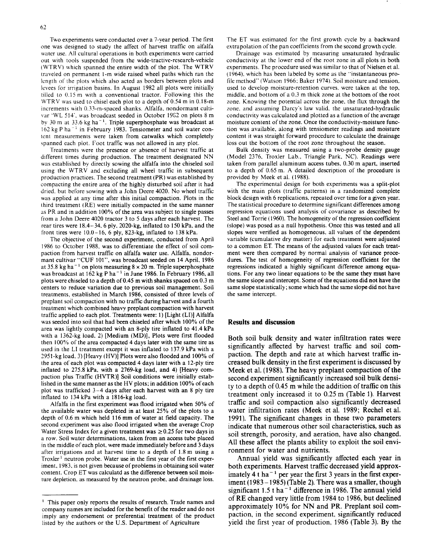Two experiments were conducted over a 7-year period. The first one was designed to study the affect of harvest traffic on alfalfa water use. All cultural operations in both experiments were carried out with tools suspended from the wide-tractive-research-vehicle ( WTRV) which spanned the entire width of the plot. The WTRV traveled on permanent 1-m wide raised wheel paths which ran the length of the plots which also acted as borders between plots and levees for irrieation basins. In August 1982 all plots were initially tilled to 0.15 m with a conventional tractor. Following this the WTRV was used to chisel each plot to a depth of 0.54 m in 0.18-m increments with 0.33-m-spaced shanks. Alfalfa, nondormant cultivar 'WL 514', was broadcast seeded in October 19G2 on plots 8 m by 30 m at 33.6 kg ha<sup> $-1$ </sup>. Triple superphosphate was broadcast at 162 kg P ha<sup>-1</sup> in February 1983. Tensiometer and soil water content measurements were taken from catwalks which completely spanned each plot. Foot traffic was not allowed in any plot.

Treatments were the presence or absence of harvest traffic at different times during production. The treatment designated NN was established by directly sowing the alfalfa into the chiseled soil using the WTRV and excluding all wheel traffic in subsequent production practices. The second treatment (PR) was established by compacting the entire area of the highly disturbed soil after it had dried. but before sowing with a John Deere 4020. No wheel traffic was applied at any time after this initial compaction. Plots in the third treatment (RE) were initially compacted in the same manner as PR and in addition 100% of the area was subject to single passes from a John Deere 4020 tractor 3 to 5 days after each harvest. The rear tires were 18.4-34, 6 ply, 2020-kg, inflated to 150 kPa, and the front tires were  $10.0-16$ , 6 ply, 823-kg, inflated to 138 kPa.

The objective of the second experiment, conducted from April 1986 to October 1988, was to differentiate the effect of soil compaction from harvest traffic on alfalfa water use. Alfalfa, nondormant cultivar "CUF 101", was broadcast seeded on 14 April, 1986 at 35.8 kg ha<sup>-1</sup> on plots measuring  $8 \times 20$  m. Triple superphosphate was broadcast at 162 kg P ha<sup> $-1$ </sup> in June 1986. In February 1986, all plots were chiseled to a depth of 0.45 m with shanks spaced on 0.3 m centers to reduce variation due to previous soil management. Soil treatments, established in March 1986, consisted of three levels of preplant soil compaction with no traffic during harvest and a fourth treatment which combined heavy preplant compaction with harvest traffic applied to each plot. Treatments were: 1) [Light (LI)] Alfalfa was seeded into soil that had been chiseled after which 100% of the area was lightly compacted with an 8-ply tire inflated to 41.4 kPa with a 1362-kg load. 2) [Medium (MD)], Plots were first flooded then 100% of the area compacted 4 days later with the same tire as used in the LI treatment except it was inflated to 137.9 kPa with a 2951-kg load, 3) [Heavy (HV)] Plots were also flooded and 100% of the area of each plot was compacted 4 days later with a 12-ply tire inflated to 275.8 kPa, with a 2769-kg load, and 4) [Heavy compaction plus Traffic (HVTR)] Soil conditions were initially established in the same manner as the HV plots; in addition 100% of each plot was trafficked 3-4 days after each harvest with an 8 ply tire inflated to 134 kPa with a 1816-kg load.

Alfalfa in the first experiment was flood irrigated when 50% of the available water was depleted in at least 25% of the plots to a depth of 0.6 m which held 116 mm of water at field capacity. The second experiment was also flood irrigated when the average Crop Water Stress Index for a given treatment was  $\geq 0.25$  for two days in a row. Soil water determinations, taken from an access tube placed in the middle of each plot, were made immediately before and 3 days after irrigations and at harvest time to a depth of 1.8 m using a Troxler' neutron probe. Water use in the first year of the first experiment, 1983, is not given because of problems in obtaining soil water content. Crop ET was calculatd as the difference between soil moisture depletion, as measured by the neutron probe, and drainage loss.

The ET was estimated for the first growth cycle by a backward extrapolation of the pan coefficients from the second growth cycle.

Drainage was estimated by measuring unsaturated hydraulic conductivity at the lower end of the root zone in all plots in both experiments. The procedure used was similar to that of Nielsen et al. (1964), which has been labeled by some as the "instantaneous profile method" (Watson 1966; Baker 1974). Soil moisture and tension, used to develop moisture-retention curves. were taken at the top, middle, and bottom of a 0.3 m thick zone at the bottom of the root zone. Knowing the potential across the zone, the flux through the zone, and assuming Darcy's law valid, the unsaturated-hydraulic conductivity was calculated and plotted as a function of the average moisture content of the zone. Once the conductivity-moisture function was available, along with tensiometer readings and moisture content it was straight forward procedure to calculate the drainage loss out the bottom of the root zone throughout the season.

Bulk density was measured using a two-probe density gauge (Model 2376, Troxler Lab.. Triangle Park, NC). Readings were taken from parallel aluminum access tubes, 0.30 m apart, inserted to a depth of 0.65 m. A detailed description of the procedure is provided by Meek et al. (1988).

The experimental design for both experiments was a split-plot with the main plots (traffic patterns) in a randomized complete block design with 6 replications, repeated over time for a given year. The statistical procedure to determine significant differences among regression equations used analysis of covariance as described by Steel and Torrie (1960). The homogeneity of the regression coefficient (slope) was posed as a null hypothesis. Once this was tested and all slopes were verified as homogeneous. all values of the dependent variable (cumulative dry matter) for each treatment were adjusted to a common ET. The means of the adjusted values for each treatment were then compared by normal analysis of variance procedures. The test of homogeneity of regression coefficient for the regressions indicated a highly significant difference among equations. For any two linear equations to be the same they must have the same slope and intercept. Some of the equations did not have the same slope statistically; some which had the same slope did not have the same intercept.

## **Results and discussion**

Both soil bulk density and water infiltration rates were significantly affected by harvest traffic and soil compaction. The depth and rate at which harvest traffic increased bulk density in the first experiment is discussed by Meek et al. (1988). The heavy preplant compaction of the second experiment significantly increased soil bulk density to a depth of 0.45 m while the addition of traffic on this treatment only increased it to 0.25 m (Table 1). Harvest traffic and soil compaction also significantly decreased water infiltration rates (Meek et al. 1989; Rechel et al. 1991). The significant changes in these two parameters indicate that numerous other soil characteristics, such as soil strength, porosity, and aeration, have also changed. All these affect the plants ability to exploit the soil environment for water and nutrients.

Annual yield was significantly affected each year in both experiments. Harvest traffic decreased yield approximately 4 t ha<sup> $-1$ </sup> per year the first 3 years in the first experiment (1983 – 1985) (Table 2). There was a smaller, though significant  $1.5$  t ha<sup>-1</sup> difference in 1986. The annual yield of RE changed very little from 1984 to 1986, but declined approximately 10% for NN and PR. Preplant soil compaction, in the second experiment, significantly reduced yield the first year of production. 1986 (Table 3). By the

 $<sup>1</sup>$  This paper only reports the results of research. Trade names and</sup> company names are included for the benefit of the reader and do not imply any endorsement or preferential treatment of the product listed by the authors or the U.S. Department of Agriculture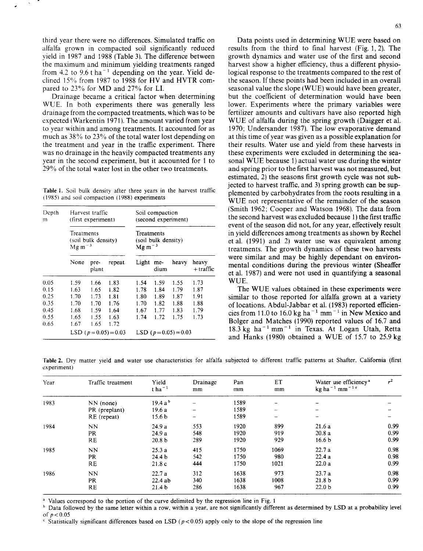third year there were no differences. Simulated traffic on alfalfa grown in compacted soil significantly reduced yield in 1987 and 1988 (Table 3). The difference between the maximum and minimum yielding treatments ranged from 4.2 to  $9.6$  t ha<sup>-1</sup> depending on the year. Yield declined 15% from 1987 to 1988 for HV and HVTR compared to 23% for MD and 27% for LI.

Drainage became a critical factor when determining WUE. In both experiments there was generally less drainage from the compacted treatments, which was to be expected ( Warkentin 1971). The amount varied from year to year within and among treatments. It accounted for as much as 38% to 23% of the total water lost depending on the treatment and year in the traffic experiment. There was no drainage in the heavily compacted treatments any year in the second experiment, but it accounted for 1 to 29% of the total water lost in the other two treatments.

**Table I.** Soil bulk density after three years in the harvest traffic (1985) and soil compaction (1988) experiments

| Depth<br>m | Harvest traffic<br>(first experiment)<br>Treatments<br>(soil bulk density)<br>$Mg m^{-3}$ |      |      | Soil compaction<br>(second experiment)<br>Treatments<br>(soil bulk density)<br>$Mg m^{-3}$ |      |      |      |      |
|------------|-------------------------------------------------------------------------------------------|------|------|--------------------------------------------------------------------------------------------|------|------|------|------|
|            |                                                                                           |      |      |                                                                                            |      |      |      |      |
|            | 0.05                                                                                      | 1.59 | 1.66 | 1.83                                                                                       | 1.54 | 1.59 | 1.55 | 1.73 |
| 0.15       | 1.63                                                                                      | 1.65 | 1.82 | 1.78                                                                                       | 1.84 | 1.79 | 1.87 |      |
| 0.25       | 1.70                                                                                      | 1.73 | 1.81 | 1.80                                                                                       | 1.89 | 1.87 | 1.91 |      |
| 0.35       | 1.70                                                                                      | 1.70 | 1.76 | 1.70                                                                                       | 1.82 | 1.88 | 1.88 |      |
| 0.45       | 1.68                                                                                      | 1.59 | 1.64 | 1.67                                                                                       | 1.77 | 1.83 | 1.79 |      |
| 0.55       | 1.65                                                                                      | 1.55 | 1.63 | 1.74                                                                                       | 1.72 | 1.75 | 1.73 |      |
| 0.65       | 1.67                                                                                      | 1.65 | 1.72 |                                                                                            |      |      |      |      |
|            | LSD $(p=0.05)=0.03$                                                                       |      |      | LSD $(p=0.05)=0.03$                                                                        |      |      |      |      |

Data points used in determining WUE were based on results from the third to final harvest (Fig. 1, 2). The growth dynamics and water use of the first and second harvest show a higher efficiency, thus a different physiological response to the treatments compared to the rest of the season. If these points had been included in an overall seasonal value the slope (WUE) would have been greater, but the coefficient of determination would have been lower. Experiments where the primary variables were fertilizer amounts and cultivars have also reported high WUE of alfalfa during the spring growth (Daigger et al. 1970; Undersander 1987). The low evaporative demand at this time of year was given as a possible explanation for their results. Water use and yield from these harvests in these experiments were excluded in determining the seasonal WUE because 1) actual water use during the winter and spring prior to the first harvest was not measured, but estimated, 2) the seasons first growth cycle was not subjected to harvest traffic, and 3) spring growth can be supplemented by carbohydrates from the roots resulting in a WUE not representative of the remainder of the season (Smith 1962; Cooper and Watson 1968). The data from the second harvest was excluded because 1) the first traffic event of the season did not, for any year, effectively result in yield differences among treatments as shown by Rechel et al. (1991) and 2) water use was equivalent among treatments. The growth dynamics of these two harvests were similar and may be highly dependant on environmental conditions during the previous winter (Sheaffer et al. 1987) and were not used in quantifying a seasonal WUE.

The WUE values obtained in these experiments were similar to those reported for alfalfa grown at a variety of locations. Abdul-Jabbar et al. (1983) reported efficiencies from 11.0 to 16.0 kg ha<sup> $-1$ </sup> mm<sup> $-1$ </sup> in New Mexico and Bolger and Matches (1990) reported values of 16.7 and  $18.3 \text{ kg}$  ha<sup>-1</sup> mm<sup>-1</sup> in Texas. At Logan Utah, Retta and Hanks (1980) obtained a WUE of 15.7 to 25.9 kg

Table 2. Dry matter yield and water use characteristics for alfalfa subjected to different traffic patterns at Shafter, California (first experiment)

| Year | Traffic treatment | Yield<br>tha <sup><math>-1</math></sup> | Drainage<br>mm | Pan<br>mm | ET<br>mm                 | Water use efficiency <sup>a</sup><br>kg ha $^{-1}$ mm $^{-1}$ $^{\circ}$ | $r^2$ |
|------|-------------------|-----------------------------------------|----------------|-----------|--------------------------|--------------------------------------------------------------------------|-------|
| 1983 | $NN$ (none)       | $19.4a^b$                               |                | 1589      | $\overline{\phantom{a}}$ | -                                                                        |       |
|      | PR (preplant)     | 19.6 a                                  |                | 1589      | $\sim$                   | -                                                                        |       |
|      | RE (repeat)       | 15.6 <sub>b</sub>                       |                | 1589      |                          | $\overline{\phantom{a}}$                                                 |       |
| 1984 | NN                | 24.9a                                   | 553            | 1920      | 899                      | 21.6a                                                                    | 0.99  |
|      | <b>PR</b>         | 24.9a                                   | 548            | 1920      | 919                      | 20.8a                                                                    | 0.99  |
|      | <b>RE</b>         | 20.8 <sub>b</sub>                       | 289            | 1920      | 929                      | 16.6 <sub>b</sub>                                                        | 0.99  |
| 1985 | NN                | 25.3a                                   | 415            | 1750      | 1069                     | 22.7a                                                                    | 0.98  |
|      | <b>PR</b>         | 24.4 <sub>b</sub>                       | 542            | 1750      | 980                      | 22.4a                                                                    | 0.98  |
|      | <b>RE</b>         | 21.8c                                   | 444            | 1750      | 1021                     | 22.0a                                                                    | 0.99  |
| 1986 | NN                | 22.7a                                   | 312            | 1638      | 973                      | 23.7a                                                                    | 0.98  |
|      | <b>PR</b>         | 22.4ab                                  | 340            | 1638      | 1008                     | 21.8 <sub>b</sub>                                                        | 0.99  |
|      | <b>RE</b>         | 21.4 <sub>b</sub>                       | 286            | 1638      | 967                      | 22.0 <sub>b</sub>                                                        | 0.99  |

<sup>a</sup> Values correspond to the portion of the curve delimited by the regression line in Fig. 1

<sup>b</sup> Data followed by the same letter within a row, within a year, are not significantly different as determined by LSD at a probability level of  $p < 0.05$ 

Statistically significant differences based on LSD ( $p < 0.05$ ) apply only to the slope of the regression line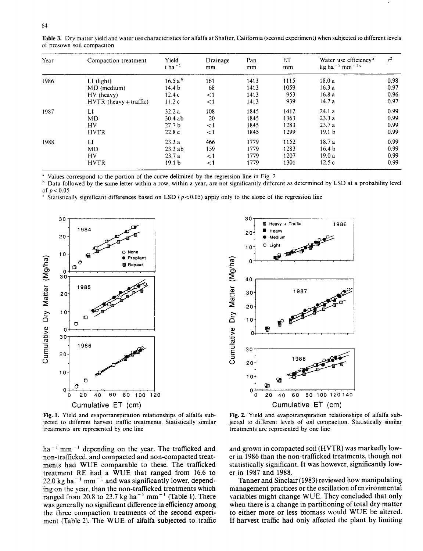| Year | Compaction treatment     | Yield<br>$t$ ha <sup>-1</sup> | Drainage<br>mm | Pan<br>mm | ET<br>mm | Water use efficiency <sup>a</sup><br>kg ha $^{-1}$ mm $^{-1}$ c | $r^2$ |
|------|--------------------------|-------------------------------|----------------|-----------|----------|-----------------------------------------------------------------|-------|
| 1986 | $LI$ (light)             | 16.5 a <sup>b</sup>           | 161            | 1413      | 1115     | 18.0a                                                           | 0.98  |
|      | MD (medium)              | 14.4 <sub>b</sub>             | 68             | 1413      | 1059     | 16.3a                                                           | 0.97  |
|      | HV (heavy)               | 12.4c                         | $\lt 1$        | 1413      | 953      | 16.8a                                                           | 0.96  |
|      | $HVTR$ (heavy + traffic) | 11.2c                         | $\lt 1$        | 1413      | 939      | 14.7a                                                           | 0.97  |
| 1987 | LI                       | 32.2a                         | 108            | 1845      | 1412     | 24.1a                                                           | 0.99  |
|      | MD                       | 30.4ab                        | 20             | 1845      | 1363     | 23.3a                                                           | 0.99  |
|      | HV                       | 27.7 <sub>b</sub>             | $\leq 1$       | 1845      | 1283     | 23.7a                                                           | 0.99  |
|      | <b>HVTR</b>              | 22.8c                         | $\leq$ 1       | 1845      | 1299     | 19.1 <sub>b</sub>                                               | 0.99  |
| 1988 | LI                       | 23.3a                         | 466            | 1779      | 1152     | 18.7a                                                           | 0.99  |
|      | MD                       | 23.3ab                        | 159            | 1779      | 1283     | 16.4 <sub>b</sub>                                               | 0.99  |
|      | HV                       | 23.7a                         | $\lt 1$        | 1779      | 1207     | 19.0a                                                           | 0.99  |
|      | <b>HVTR</b>              | 19.1 <sub>b</sub>             | $\lt 1$        | 1779      | 1301     | 12.5c                                                           | 0.99  |

Table 3. Dry matter yield and water use characteristics for alfalfa at Shafter, California (second experiment) when subjected to different levels of presown soil compaction

• Values correspond to the portion of the curve delimited by the regression line in Fig. 2

• Data followed by the same letter within a row, within a year, are not significantly different as determined by LSD at a probability level of  $p < 0.05$ 

• Statistically significant differences based on LSD *(p <0.05)* apply only to the slope of the regression line



Fig. 1. Yield and evapotranspiration relationships of alfalfa subjected to different harvest traffic treatments. Statistically similar treatments are represented by one line

 $ha^{-1}$  mm<sup>-1</sup> depending on the year. The trafficked and non-trafficked, and compacted and non-compacted treatments had WUE comparable to these. The trafficked treatment RE had a WUE that ranged from 16.6 to 22.0 kg ha<sup> $-1$ </sup> mm<sup> $-1$ </sup> and was significantly lower, depending on the year, than the non-trafficked treatments which ranged from 20.8 to 23.7 kg ha<sup> $-1$ </sup> mm<sup> $-1$ </sup> (Table 1). There was generally no significant difference in efficiency among the three compaction treatments of the second experiment (Table 2). The WUE of alfalfa subjected to traffic



**Fig. 2.** Yield and evapotranspiration relationships of alfalfa subjected to different levels of soil compaction. Statistically similar treatments are represented by one line

and grown in compacted soil (HVTR) was markedly lower in 1986 than the non-trafficked treatments, though not statistically significant. It was however, significantly lower in 1987 and 1988.

Tanner and Sinclair (1983) reviewed how manipulating management practices or the oscillation of environmental variables might change WUE. They concluded that only when there is a change in partitioning of total dry matter to either more or less biomass would WUE be altered. If harvest traffic had only affected the plant by limiting